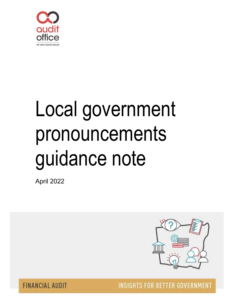

# Local government pronouncements guidance note

April 2022



**INSIGHTS FOR BETTER GOVERNMENT** 

**FINANCIAL AUDIT**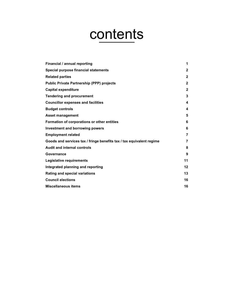# contents

| Financial / annual reporting                                         | 1            |
|----------------------------------------------------------------------|--------------|
| Special purpose financial statements                                 | $\mathbf{2}$ |
| <b>Related parties</b>                                               | $\mathbf{2}$ |
| <b>Public Private Partnership (PPP) projects</b>                     | $\mathbf{2}$ |
| <b>Capital expenditure</b>                                           | $\mathbf{2}$ |
| <b>Tendering and procurement</b>                                     | 3            |
| <b>Councillor expenses and facilities</b>                            | 4            |
| <b>Budget controls</b>                                               | 4            |
| <b>Asset management</b>                                              | 5            |
| Formation of corporations or other entities                          | 6            |
| <b>Investment and borrowing powers</b>                               | 6            |
| <b>Employment related</b>                                            | 7            |
| Goods and services tax / fringe benefits tax / tax equivalent regime | 7            |
| <b>Audit and internal controls</b>                                   | 8            |
| Governance                                                           | 9            |
| Legislative requirements                                             | 11           |
| Integrated planning and reporting                                    | 12           |
| <b>Rating and special variations</b>                                 | 13           |
| <b>Council elections</b>                                             | 16           |
| <b>Miscellaneous items</b>                                           | 16           |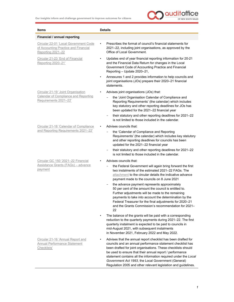

| <b>Items</b>                                                                                       | <b>Details</b>                                                                                                                                                                                                                                                                                                                                                                                                                                       |
|----------------------------------------------------------------------------------------------------|------------------------------------------------------------------------------------------------------------------------------------------------------------------------------------------------------------------------------------------------------------------------------------------------------------------------------------------------------------------------------------------------------------------------------------------------------|
| Financial / annual reporting                                                                       |                                                                                                                                                                                                                                                                                                                                                                                                                                                      |
| Circular 22-01 'Local Government Code<br>of Accounting Practice and Financial<br>Reporting 2021-22 | Prescribes the format of council's financial statements for<br>$\bullet$<br>2021-22, including joint organisations, as approved by the<br>Office of Local Government.                                                                                                                                                                                                                                                                                |
| Circular 21-23 'End of Financial<br>Reporting 2020-21'                                             | Updates end of year financial reporting information for 20-21<br>$\bullet$<br>and the Financial Data Return for changes in the Local<br>Government Code of Accounting Practice and Financial<br>Reporting - Update 2020-21,                                                                                                                                                                                                                          |
|                                                                                                    | Annexures 1 and 2 provides information to help councils and<br>$\bullet$<br>joint organisations (JOs) prepare their 2020-21 financial<br>statements.                                                                                                                                                                                                                                                                                                 |
| Circular 21-19 'Joint Organisation                                                                 | Advises joint organisations (JOs) that:<br>$\bullet$                                                                                                                                                                                                                                                                                                                                                                                                 |
| Calendar of Compliance and Reporting<br>Requirements 2021-22'                                      | the 'Joint Organisation Calendar of Compliance and<br>Reporting Requirements' (the calendar) which includes<br>key statutory and other reporting deadlines for JOs has<br>been updated for the 2021-22 financial year                                                                                                                                                                                                                                |
|                                                                                                    | their statutory and other reporting deadlines for 2021-22<br>$\overline{\phantom{a}}$<br>is not limited to those included in the calendar.                                                                                                                                                                                                                                                                                                           |
| Circular 21-18 'Calendar of Compliance                                                             | Advises councils that:                                                                                                                                                                                                                                                                                                                                                                                                                               |
| and Reporting Requirements 2021-22'                                                                | the 'Calendar of Compliance and Reporting<br>$\qquad \qquad -$<br>Requirements' (the calendar) which includes key statutory<br>and other reporting deadlines for councils has been<br>updated for the 2021-22 financial year                                                                                                                                                                                                                         |
|                                                                                                    | their statutory and other reporting deadlines for 2021-22<br>$\qquad \qquad -$<br>is not limited to those included in the calendar.                                                                                                                                                                                                                                                                                                                  |
| Circular GC 150 '2021-22 Financial                                                                 | Advises councils that:                                                                                                                                                                                                                                                                                                                                                                                                                               |
| <u> Assistance Grants (FAGs) – advance</u><br>payment                                              | the Federal Government will again bring forward the first<br>two instalments of the estimated 2021-22 FAGs. The<br>attachment to the circular details the indicative advance<br>payment made to the councils on 8 June 2021                                                                                                                                                                                                                          |
|                                                                                                    | the advance payment represents approximately<br>50 per cent of the amount the council is entitled to.<br>Further adjustments will be made to the remaining<br>payments to take into account the determination by the<br>Federal Treasurer for the final adjustments for 2020-21<br>and the Grants Commission's recommendation for 2021-<br>22                                                                                                        |
|                                                                                                    | The balance of the grants will be paid with a corresponding<br>reduction to the quarterly payments during 2021-22. The first<br>quarterly instalment is expected to be paid to councils in<br>mid-August 2021, with subsequent instalments<br>in November 2021, February 2022 and May 2022.                                                                                                                                                          |
| Circular 21-16 'Annual Report and<br><b>Annual Performance Statement</b><br>Checklists'            | Advises that the annual report checklist has been drafted for<br>councils and an annual performance statement checklist has<br>been drafted for joint organisations. These checklists should<br>be used to ensure that their annual report / performance<br>statement contains all the information required under the Local<br>Government Act 1993, the Local Government (General)<br>Regulation 2005 and other relevant legislation and guidelines. |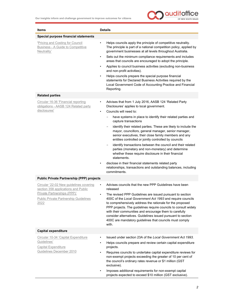

| <b>Items</b>                                                                                                                                                                 | <b>Details</b>                                                                                                                                                                                                                                                                                                                                                                                                                                                                                                                                                                                                                                                                                                                                                                                                                        |
|------------------------------------------------------------------------------------------------------------------------------------------------------------------------------|---------------------------------------------------------------------------------------------------------------------------------------------------------------------------------------------------------------------------------------------------------------------------------------------------------------------------------------------------------------------------------------------------------------------------------------------------------------------------------------------------------------------------------------------------------------------------------------------------------------------------------------------------------------------------------------------------------------------------------------------------------------------------------------------------------------------------------------|
| Special purpose financial statements                                                                                                                                         |                                                                                                                                                                                                                                                                                                                                                                                                                                                                                                                                                                                                                                                                                                                                                                                                                                       |
| 'Pricing and Costing for Council<br><b>Business - A Guide to Competitive</b><br>Neutrality'                                                                                  | Helps councils apply the principle of competitive neutrality.<br>$\bullet$<br>The principle is part of a national competition policy, applied by<br>government businesses at all levels throughout Australia.<br>Sets out the minimum compliance requirements and includes<br>$\bullet$<br>areas that councils are encouraged to adopt the principle.<br>Applies to council business activities (excluding non-business<br>٠<br>and non-profit activities).<br>Helps councils prepare the special purpose financial<br>$\bullet$<br>statements for Declared Business Activities required by the<br>Local Government Code of Accounting Practice and Financial<br>Reporting.                                                                                                                                                           |
| <b>Related parties</b>                                                                                                                                                       |                                                                                                                                                                                                                                                                                                                                                                                                                                                                                                                                                                                                                                                                                                                                                                                                                                       |
| Circular 16-36 'Financial reporting<br>obligations - AASB 124 Related party<br>disclosures'                                                                                  | Advises that from 1 July 2016, AASB 124 'Related Party<br>$\bullet$<br>Disclosures' applies to local government.<br>Councils will need to:<br>$\bullet$<br>have systems in place to identify their related parties and<br>capture transactions<br>identify their related parties. These are likely to include the<br>mayor, councillors, general manager, senior manager,<br>senior executives, their close family members and any<br>entities controlled or jointly controlled by councils<br>identify transactions between the council and their related<br>parties (monetary and non-monetary) and determine<br>whether these require disclosure in their financial<br>statements.<br>disclose in their financial statements related party<br>٠<br>relationships, transactions and outstanding balances, including<br>commitments. |
| <b>Public Private Partnership (PPP) projects</b>                                                                                                                             |                                                                                                                                                                                                                                                                                                                                                                                                                                                                                                                                                                                                                                                                                                                                                                                                                                       |
| Circular '22-02 New guidelines covering<br>section 358 applications and Public<br><b>Private Partnerships (PPP)'</b><br><b>Public Private Partnership Guidelines</b><br>2022 | Advises councils that the new PPP Guidelines have been<br>$\bullet$<br>released<br>The revised PPP Guidelines are issued pursuant to section<br>$\bullet$<br>400C of the Local Government Act 1993 and require councils<br>to comprehensively address the rationale for the proposed<br>PPP projects. The guidelines require councils to consult widely<br>with their communities and encourage them to carefully<br>consider alternatives. Guidelines issued pursuant to section<br>400C are mandatory guidelines that councils must comply<br>with.                                                                                                                                                                                                                                                                                 |
| <b>Capital expenditure</b>                                                                                                                                                   |                                                                                                                                                                                                                                                                                                                                                                                                                                                                                                                                                                                                                                                                                                                                                                                                                                       |
| Circular 10-34 'Capital Expenditure<br>Guidelines'<br><b>Capital Expenditure</b><br>Guidelines December 2010                                                                 | Issued under section 23A of the Local Government Act 1993.<br>$\bullet$<br>Helps councils prepare and review certain capital expenditure<br>projects.<br>Requires councils to undertake capital expenditure reviews for<br>٠<br>non-exempt projects exceeding the greater of 10 per cent of<br>the council's ordinary rates revenue or \$1 million (GST<br>exclusive).<br>Imposes additional requirements for non-exempt capital<br>٠<br>projects expected to exceed \$10 million (GST exclusive).                                                                                                                                                                                                                                                                                                                                    |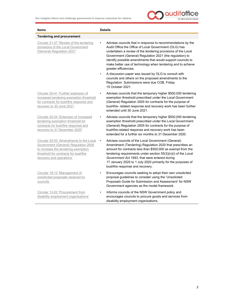

| <b>Items</b>                                                                                                                                                                               | <b>Details</b>                                                                                                                                                                                                                                                                                                                                                                                                       |
|--------------------------------------------------------------------------------------------------------------------------------------------------------------------------------------------|----------------------------------------------------------------------------------------------------------------------------------------------------------------------------------------------------------------------------------------------------------------------------------------------------------------------------------------------------------------------------------------------------------------------|
| <b>Tendering and procurement</b>                                                                                                                                                           |                                                                                                                                                                                                                                                                                                                                                                                                                      |
| Circular 21-27 'Review of the tendering<br>provisions of the Local Government<br>(General) Regulation 2021'                                                                                | Advises councils that in response to recommendations by the<br>$\bullet$<br>Audit Office the Office of Local Government (OLG) has<br>undertaken a review of the tendering provisions of the Local<br>Government (General) Regulation 2021 (the regulation) to<br>identify possible amendments that would support councils to<br>make better use of technology when tendering and to achieve<br>greater efficiencies. |
|                                                                                                                                                                                            | A discussion paper was issued by OLG to consult with<br>councils and others on the proposed amendments to the<br>Regulation. Submissions were due COB, Friday<br>15 October 2021.                                                                                                                                                                                                                                    |
| Circular 20-41 'Further extension of<br>increased tendering exemption threshold<br>for contracts for bushfire response and<br>recovery to 30 June 2021'                                    | Advises councils that the temporary higher \$500,000 tendering<br>$\bullet$<br>exemption threshold prescribed under the Local Government<br>(General) Regulation 2005 for contracts for the purpose of<br>bushfire- related response and recovery work has been further<br>extended until 30 June 2021.                                                                                                              |
| Circular 20-24 'Extension of increased<br>tendering exemption threshold for<br>contracts for bushfire response and<br>recovery to 31 December 2020'                                        | Advises councils that the temporary higher \$500,000 tendering<br>exemption threshold prescribed under the Local Government<br>(General) Regulation 2005 for contracts for the purpose of<br>bushfire-related response and recovery work has been<br>extended for a further six months to 31 December 2020.                                                                                                          |
| Circular 20-03 'Amendments to the Local<br>Government (General) Regulation 2005<br>to increase the tendering exemption<br>threshold for contracts for bushfire<br>recovery and operations' | Advises councils of the Local Government (General)<br>٠<br>Amendment (Tendering) Regulation 2020 that prescribes an<br>amount for contracts less than \$500,000 as exempt from the<br>tendering requirements under section $55(3)(n)(i)$ of the Local<br>Government Act 1993, that were entered during<br>17 January 2020 to 1 July 2020 primarily for the purposes of<br>bushfire response and recovery.            |
| Circular 18-12 'Management of<br>unsolicited proposals received by<br>councils'                                                                                                            | Encourages councils seeking to adopt their own unsolicited<br>proposal guidelines to consider using the 'Unsolicited<br>Proposals Guide for Submission and Assessment' for NSW<br>Government agencies as the model framework.                                                                                                                                                                                        |
| Circular 12-02 'Procurement from<br>disability employment organisations'                                                                                                                   | Informs councils of the NSW Government policy and<br>encourages councils to procure goods and services from<br>disability employment organisations.                                                                                                                                                                                                                                                                  |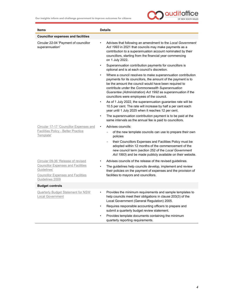

| <b>Items</b>                                                                                                             | <b>Details</b>                                                                                                                                                                                                                                                                                                                                                        |
|--------------------------------------------------------------------------------------------------------------------------|-----------------------------------------------------------------------------------------------------------------------------------------------------------------------------------------------------------------------------------------------------------------------------------------------------------------------------------------------------------------------|
| <b>Councillor expenses and facilities</b>                                                                                |                                                                                                                                                                                                                                                                                                                                                                       |
| Circular 22-04 'Payment of councillor<br>superannuation'                                                                 | Advises that following an amendment to the Local Government<br>$\bullet$<br>Act 1993 in 2021 that councils may make payments as a<br>contribution to a superannuation account nominated by their<br>councillors, starting from the financial year commencing<br>on 1 July 2022.                                                                                       |
|                                                                                                                          | Superannuation contribution payments for councillors is<br>$\bullet$<br>optional and is at each council's discretion.                                                                                                                                                                                                                                                 |
|                                                                                                                          | Where a council resolves to make superannuation contribution<br>$\bullet$<br>payments for its councillors, the amount of the payment is to<br>be the amount the council would have been required to<br>contribute under the Commonwealth Superannuation<br>Guarantee (Administration) Act 1992 as superannuation if the<br>councillors were employees of the council. |
|                                                                                                                          | As of 1 July 2022, the superannuation guarantee rate will be<br>$\bullet$<br>10.5 per cent. The rate will increase by half a per cent each<br>year until 1 July 2025 when it reaches 12 per cent.                                                                                                                                                                     |
|                                                                                                                          | The superannuation contribution payment is to be paid at the<br>$\bullet$<br>same intervals as the annual fee is paid to councillors.                                                                                                                                                                                                                                 |
| Circular 17-17 'Councillor Expenses and                                                                                  | Advises councils:<br>$\bullet$                                                                                                                                                                                                                                                                                                                                        |
| <b>Facilities Policy - Better Practice</b><br>Template'                                                                  | of the new template councils can use to prepare their own<br>policies                                                                                                                                                                                                                                                                                                 |
|                                                                                                                          | their Councillors Expenses and Facilities Policy must be<br>adopted within 12 months of the commencement of the<br>new council term (section 252 of the Local Government<br>Act 1993) and be made publicly available on their website.                                                                                                                                |
| Circular 09-36 'Release of revised                                                                                       | Advises councils of the release of the revised guidelines.                                                                                                                                                                                                                                                                                                            |
| <b>Councillor Expenses and Facilities</b><br>Guidelines'<br><b>Councillor Expenses and Facilities</b><br>Guidelines 2009 | The guidelines help councils develop, implement and review<br>$\bullet$<br>their policies on the payment of expenses and the provision of<br>facilities to mayors and councillors.                                                                                                                                                                                    |
| <b>Budget controls</b>                                                                                                   |                                                                                                                                                                                                                                                                                                                                                                       |
| <b>Quarterly Budget Statement for NSW</b><br><b>Local Government</b>                                                     | Provides the minimum requirements and sample templates to<br>$\bullet$<br>help councils meet their obligations in clause 203(3) of the<br>Local Government (General Regulation) 2005.                                                                                                                                                                                 |
|                                                                                                                          | Requires responsible accounting officers to prepare and<br>٠<br>submit a quarterly budget review statement.                                                                                                                                                                                                                                                           |
|                                                                                                                          | Provides template documents containing the minimum<br>quarterly reporting requirements.                                                                                                                                                                                                                                                                               |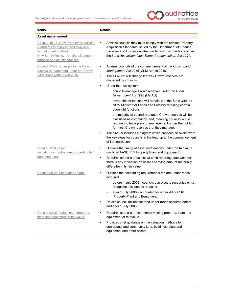

| <b>Items</b>                                                                                                                                                                            | <b>Details</b>                                                                                                                                                                                                                                       |
|-----------------------------------------------------------------------------------------------------------------------------------------------------------------------------------------|------------------------------------------------------------------------------------------------------------------------------------------------------------------------------------------------------------------------------------------------------|
| <b>Asset management</b>                                                                                                                                                                 |                                                                                                                                                                                                                                                      |
| Circular 19-16 'New Property Acquisition<br>Standards to apply immediately to all<br>acquiring authorities in<br>New South Wales, including all general<br>purpose and county councils' | Advises councils they must comply with the revised Property<br>Acquisition Standards issued by the Department of Finance,<br>Services and Innovation when undertaking acquisitions under<br>the Land Acquisition (Just Terms Compensation) Act 1991. |
| Circular 17-42 'Changes to the Crown<br>reserve management under the Crown                                                                                                              | Advises councils of the commencement of the Crown Land<br>٠<br>Management Act 2016 (CLM Act) in 2018.                                                                                                                                                |
| Land Management Act 2016'                                                                                                                                                               | The CLM Act will change the way Crown reserves are<br>$\bullet$<br>managed by councils.                                                                                                                                                              |
|                                                                                                                                                                                         | Under the new system:<br>$\bullet$                                                                                                                                                                                                                   |
|                                                                                                                                                                                         | councils manage Crown reserves under the Local<br>Government Act 1993 (LG Act)                                                                                                                                                                       |
|                                                                                                                                                                                         | ownership of the land will remain with the State with the<br>$\qquad \qquad -$<br>NSW Minister for Lands and Forestry retaining certain<br>oversight functions                                                                                       |
|                                                                                                                                                                                         | the majority of council managed Crown reserves will be<br>classified as community land, meaning councils will be<br>required to have plans of management under the LG Act<br>for most Crown reserves that they manage.                               |
|                                                                                                                                                                                         | The circular includes a diagram which provides an overview of<br>the key steps for councils in the lead up to the commencement<br>of the legislation.                                                                                                |
| Circular 12-09 'Fair<br>valuation - infrastructure, property, plant                                                                                                                     | Outlines the timing of asset revaluations under the fair value<br>$\bullet$<br>model of AASB 116 'Property Plant and Equipment'.                                                                                                                     |
| and equipment'                                                                                                                                                                          | Requires councils to assess at each reporting date whether<br>$\bullet$<br>there is any indication an asset's carrying amount materially<br>differs from its fair value.                                                                             |
| Circular 09-25 'Land under roads'                                                                                                                                                       | Outlines the accounting requirements for land under roads<br>acquired:                                                                                                                                                                               |
|                                                                                                                                                                                         | before 1 July 2008 - councils can elect to recognise or not<br>$\qquad \qquad -$<br>recognise this land as an asset                                                                                                                                  |
|                                                                                                                                                                                         | after 1 July 2008 - accounted for under AASB 116<br>'Property Plant and Equipment'.                                                                                                                                                                  |
|                                                                                                                                                                                         | Details council actions for land under roads acquired before<br>$\bullet$<br>and after 1 July 2008.                                                                                                                                                  |
| Circular 08-07 'Valuation of property,<br>plant and equipment at fair value'                                                                                                            | Requires councils to commence valuing property, plant and<br>equipment at fair value.                                                                                                                                                                |
|                                                                                                                                                                                         | Provides brief guidance on the valuation methods for<br>operational and community land, buildings, plant and<br>equipment and other assets.                                                                                                          |

5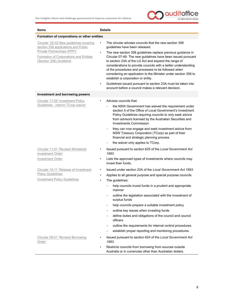

| <b>Items</b>                                                                                              | <b>Details</b>                                                                                                                                                                                                                                                                                                                                                                                                                     |
|-----------------------------------------------------------------------------------------------------------|------------------------------------------------------------------------------------------------------------------------------------------------------------------------------------------------------------------------------------------------------------------------------------------------------------------------------------------------------------------------------------------------------------------------------------|
| Formation of corporations or other entities                                                               |                                                                                                                                                                                                                                                                                                                                                                                                                                    |
| Circular '22-02 New guidelines covering<br>section 358 applications and Public                            | The circular advises councils that the new section 358<br>$\bullet$<br>guidelines have been released.                                                                                                                                                                                                                                                                                                                              |
| Private Partnerships (PPP)'<br>Formation of Corporations and Entities<br>(Section 358) Guideline          | The new section 358 guidelines replace previous guidance in<br>$\bullet$<br>Circular 07-49. The new guidelines have been issued pursuant<br>to section 23A of the LG Act and expand the range of<br>considerations to provide councils with a better understanding<br>of the procedures and processes to be followed when<br>considering an application to the Minister under section 358 to<br>establish a corporation or entity. |
|                                                                                                           | Guidelines issued pursuant to section 23A must be taken into<br>account before a council makes a relevant decision.                                                                                                                                                                                                                                                                                                                |
| <b>Investment and borrowing powers</b>                                                                    |                                                                                                                                                                                                                                                                                                                                                                                                                                    |
| Circular 17-29 'Investment Policy                                                                         | Advises councils that:                                                                                                                                                                                                                                                                                                                                                                                                             |
| Guidelines - Interim TCorp waiver'                                                                        | the NSW Government has waived the requirement under<br>section 5 of the Office of Local Government's Investment<br>Policy Guidelines requiring councils to only seek advice<br>from advisors licensed by the Australian Securities and<br><b>Investments Commission</b>                                                                                                                                                            |
|                                                                                                           | they can now engage and seek investment advice from<br>NSW Treasury Corporation (TCorp) as part of their<br>financial and strategic planning process                                                                                                                                                                                                                                                                               |
|                                                                                                           | the waiver only applies to TCorp.                                                                                                                                                                                                                                                                                                                                                                                                  |
| Circular 11-01 'Revised Ministerial<br>Investment Order'                                                  | Issued pursuant to section 625 of the Local Government Act<br>1993.                                                                                                                                                                                                                                                                                                                                                                |
| <b>Investment Order</b>                                                                                   | Lists the approved types of investments where councils may<br>$\bullet$<br>invest their funds.                                                                                                                                                                                                                                                                                                                                     |
| Circular 10-11 'Release of Investment<br><b>Policy Guidelines'</b><br><b>Investment Policy Guidelines</b> | Issued under section 23A of the Local Government Act 1993.<br>٠<br>Applies to all general purpose and special purpose councils.<br>٠<br>The guidelines:<br>$\bullet$<br>help councils invest funds in a prudent and appropriate<br>manner<br>outline the legislation associated with the investment of<br>surplus funds<br>help councils prepare a suitable investment policy                                                      |
|                                                                                                           | outline key issues when investing funds                                                                                                                                                                                                                                                                                                                                                                                            |
|                                                                                                           | define duties and obligations of the council and council<br>officers                                                                                                                                                                                                                                                                                                                                                               |
|                                                                                                           | outline the requirements for internal control procedures                                                                                                                                                                                                                                                                                                                                                                           |
|                                                                                                           | establish proper reporting and monitoring procedures.                                                                                                                                                                                                                                                                                                                                                                              |
| Circular 09-21 'Revised Borrowing<br>Order'                                                               | Issued pursuant to section 624 of the Local Government Act<br>1993.                                                                                                                                                                                                                                                                                                                                                                |
|                                                                                                           | Restricts councils from borrowing from sources outside<br>٠<br>Australia or in currencies other than Australian dollars.                                                                                                                                                                                                                                                                                                           |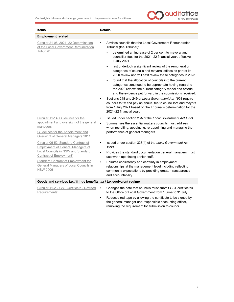

| <b>Items</b>                                                                                           | <b>Details</b>                                                                                                                                                                                                                             |  |
|--------------------------------------------------------------------------------------------------------|--------------------------------------------------------------------------------------------------------------------------------------------------------------------------------------------------------------------------------------------|--|
| <b>Employment related</b>                                                                              |                                                                                                                                                                                                                                            |  |
| Circular 21-06 '2021-22 Determination<br>of the Local Government Remuneration                          | Advises councils that the Local Government Remuneration<br>Tribunal (the Tribunal):                                                                                                                                                        |  |
| Tribunal'                                                                                              | determined an increase of 2 per cent to mayoral and<br>councillor fees for the 2021-22 financial year, effective<br>1 July 2021                                                                                                            |  |
|                                                                                                        | last undertook a significant review of the remuneration<br>categories of councils and mayoral offices as part of its<br>2020 review and will next review these categories in 2023                                                          |  |
|                                                                                                        | found that the allocation of councils into the current<br>categories continued to be appropriate having regard to<br>the 2020 review, the current category model and criteria<br>and the evidence put forward in the submissions received. |  |
|                                                                                                        | Sections 248 and 249 of Local Government Act 1993 require<br>councils to fix and pay an annual fee to councillors and mayors<br>from 1 July 2021 based on the Tribunal's determination for the<br>2021-22 financial year.                  |  |
| Circular 11-14 'Guidelines for the                                                                     | Issued under section 23A of the Local Government Act 1993.                                                                                                                                                                                 |  |
| appointment and oversight of the general<br>managers'                                                  | Summarises the essential matters councils must address<br>$\bullet$                                                                                                                                                                        |  |
| Guidelines for the Appointment and<br>Oversight of General Managers 2011                               | when recruiting, appointing, re-appointing and managing the<br>performance of general managers.                                                                                                                                            |  |
| Circular 06-52 'Standard Contract of<br><b>Employment of General Managers of</b>                       | Issued under section 338(4) of the Local Government Act<br>٠<br>1993.                                                                                                                                                                      |  |
| <b>Local Councils in NSW and Standard</b><br><b>Contract of Employment'</b>                            | Provides the standard documentation general managers must<br>$\bullet$<br>use when appointing senior staff.                                                                                                                                |  |
| <b>Standard Contract of Employment for</b><br>General Managers of Local Councils in<br><b>NSW 2006</b> | Ensures consistency and certainty in employment<br>relationships at the management level including reflecting<br>community expectations by providing greater transparency<br>and accountability.                                           |  |
| Goods and services tax / fringe benefits tax / tax equivalent regime                                   |                                                                                                                                                                                                                                            |  |
| Circular 11-23 'GST Certificate - Revised<br>Requirements'                                             | Changes the date that councils must submit GST certificates<br>$\bullet$<br>to the Office of Local Government from 1 June to 31 July.                                                                                                      |  |
|                                                                                                        | Reduces red tape by allowing the certificate to be signed by<br>۰<br>the general manager and responsible accounting officer,<br>removing the requirement for submission to council.                                                        |  |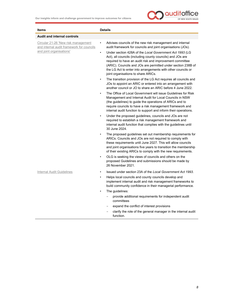

| Items                                                                                                        | <b>Details</b>                                                                                                                                                                                                                                                                                                                                                                                                                                                              |
|--------------------------------------------------------------------------------------------------------------|-----------------------------------------------------------------------------------------------------------------------------------------------------------------------------------------------------------------------------------------------------------------------------------------------------------------------------------------------------------------------------------------------------------------------------------------------------------------------------|
| <b>Audit and internal controls</b>                                                                           |                                                                                                                                                                                                                                                                                                                                                                                                                                                                             |
| Circular 21-26 'New risk management<br>and internal audit framework for councils<br>and joint organisations' | Advises councils of the new risk management and internal<br>$\bullet$<br>audit framework for councils and joint organisations (JOs).<br>Under section 428A of the Local Government Act 1993 (LG<br>$\bullet$<br>Act), all councils (including county councils) and JOs are<br>required to have an audit risk and improvement committee<br>(ARIC). Councils and JOs are permitted under section 238B of<br>the LG Act to enter into arrangements with other councils or      |
|                                                                                                              | joint organisations to share ARICs.<br>The transition provision of the LG Act requires all councils and<br>$\bullet$<br>JOs to appoint an ARIC or entered into an arrangement with<br>another council or JO to share an ARIC before 4 June 2022.<br>The Office of Local Government will issue Guidelines for Risk                                                                                                                                                           |
|                                                                                                              | Management and Internal Audit for Local Councils in NSW<br>(the guidelines) to guide the operations of ARICs and to<br>require councils to have a risk management framework and<br>internal audit function to support and inform their operations.                                                                                                                                                                                                                          |
|                                                                                                              | Under the proposed guidelines, councils and JOs are not<br>٠<br>required to establish a risk management framework and<br>internal audit function that complies with the guidelines until<br>30 June 2024.                                                                                                                                                                                                                                                                   |
|                                                                                                              | The proposed guidelines set out membership requirements for<br>٠<br>ARICs. Councils and JOs are not required to comply with<br>these requirements until June 2027. This will allow councils<br>and joint organisations five years to transition the membership<br>of their existing ARICs to comply with the new requirements.<br>OLG is seeking the views of councils and others on the<br>٠<br>proposed Guidelines and submissions should be made by<br>26 November 2021. |
| Internal Audit Guidelines                                                                                    | Issued under section 23A of the Local Government Act 1993.<br>$\bullet$<br>Helps local councils and county councils develop and<br>$\bullet$<br>implement internal audit and risk management frameworks to<br>build community confidence in their managerial performance.                                                                                                                                                                                                   |
|                                                                                                              | The guidelines:<br>$\bullet$                                                                                                                                                                                                                                                                                                                                                                                                                                                |
|                                                                                                              | provide additional requirements for independent audit<br>committees                                                                                                                                                                                                                                                                                                                                                                                                         |
|                                                                                                              | expand the conflict of interest provisions                                                                                                                                                                                                                                                                                                                                                                                                                                  |
|                                                                                                              | clarify the role of the general manager in the internal audit<br>function.                                                                                                                                                                                                                                                                                                                                                                                                  |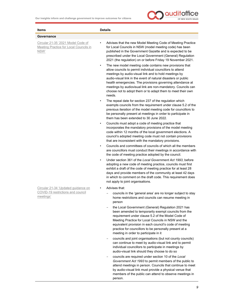

| Items                                                                                | <b>Details</b>                                                                                                                                                                                                                                                                                                                                                                                                                                                     |
|--------------------------------------------------------------------------------------|--------------------------------------------------------------------------------------------------------------------------------------------------------------------------------------------------------------------------------------------------------------------------------------------------------------------------------------------------------------------------------------------------------------------------------------------------------------------|
| Governance                                                                           |                                                                                                                                                                                                                                                                                                                                                                                                                                                                    |
| Circular 21-35 '2021 Model Code of<br>Meeting Practice for Local Councils in<br>NSW' | Advises that the new Model Meeting Code of Meeting Practice<br>$\bullet$<br>for Local Councils in NSW (model meeting code) has been<br>published in the Government Gazette and is expected to be<br>prescribed under the Local Government (General) Regulation<br>2021 (the regulation) on or before Friday 19 November 2021.                                                                                                                                      |
|                                                                                      | The new model meeting code contains new provisions that<br>$\bullet$<br>allow councils to permit individual councillors to attend<br>meetings by audio-visual link and to hold meetings by<br>audio-visual link in the event of natural disasters or public<br>health emergencies. The provisions governing attendance at<br>meetings by audiovisual link are non-mandatory. Councils can<br>choose not to adopt them or to adapt them to meet their own<br>needs. |
|                                                                                      | The repeal date for section 237 of the regulation which<br>exempts councils from the requirement under clause 5.2 of the<br>previous iteration of the model meeting code for councillors to<br>be personally present at meetings in order to participate in<br>them has been extended to 30 June 2022.                                                                                                                                                             |
|                                                                                      | Councils must adopt a code of meeting practice that<br>$\bullet$<br>incorporates the mandatory provisions of the model meeting<br>code within 12 months of the local government elections. A<br>council's adopted meeting code must not contain provisions<br>that are inconsistent with the mandatory provisions.                                                                                                                                                 |
|                                                                                      | Councils and committees of councils of which all the members<br>$\bullet$<br>are councillors must conduct their meetings in accordance with<br>the code of meeting practice adopted by the council.                                                                                                                                                                                                                                                                |
|                                                                                      | Under section 361 of the Local Government Act 1993, before<br>adopting a new code of meeting practice, councils must first<br>exhibit a draft of the code of meeting practice for at least 28<br>days and provide members of the community at least 42 days<br>in which to comment on the draft code. This requirement does<br>not apply to joint organisations.                                                                                                   |
| Circular 21-34 'Updated guidance on                                                  | Advises that:                                                                                                                                                                                                                                                                                                                                                                                                                                                      |
| COVID-19 restrictions and council<br>meetings'                                       | councils in the 'general area' are no longer subject to stay<br>home restrictions and councils can resume meeting in<br>person                                                                                                                                                                                                                                                                                                                                     |
|                                                                                      | the Local Government (General) Regulation 2021 has<br>been amended to temporarily exempt councils from the<br>requirement under clause 5.2 of the Model Code of<br>Meeting Practice for Local Councils in NSW and the<br>equivalent provision in each council's code of meeting<br>practice for councillors to be personally present at a<br>meeting in order to participate in it                                                                                 |
|                                                                                      | councils and joint organisations (but not county councils)<br>can continue to meet by audio-visual link and to permit<br>individual councillors to participate in meetings by<br>audio-visual link should they choose to do so                                                                                                                                                                                                                                     |
|                                                                                      | councils are required under section 10 of the Local                                                                                                                                                                                                                                                                                                                                                                                                                |

- councils are required under section 10 of the Local Government Act 1993 to permit members of the public to attend meetings in person. Councils that continue to meet by audio-visual link must provide a physical venue that members of the public can attend to observe meetings in person.

9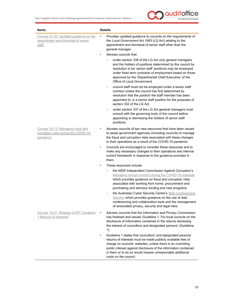

| <b>Items</b>                                                                            | <b>Details</b>                                                                                                                                                                                                                                                                                                                                      |
|-----------------------------------------------------------------------------------------|-----------------------------------------------------------------------------------------------------------------------------------------------------------------------------------------------------------------------------------------------------------------------------------------------------------------------------------------------------|
| Circular 21-22 'Updated guidance on the<br>appointment and dismissal of senior<br>staff | Provides updated guidance to councils on the requirements of<br>٠<br>the Local Government Act 1993 (LG Act) relating to the<br>appointment and dismissal of senior staff other than the<br>general manager.                                                                                                                                         |
|                                                                                         | Advises councils that:<br>$\bullet$                                                                                                                                                                                                                                                                                                                 |
|                                                                                         | under section 338 of the LG Act only general managers<br>and the holders of positions determined by the council by<br>resolution to be 'senior staff' positions may be employed<br>under fixed term contracts of employment based on those<br>approved by the 'Departmental Chief Executive' of the<br>Office of Local Government                   |
|                                                                                         | council staff must not be employed under a senior staff<br>contract unless the council has first determined by<br>resolution that the position the staff member has been<br>appointed to, is a senior staff position for the purposes of<br>section 332 of the LG Act.                                                                              |
|                                                                                         | under section 337 of the LG Act general managers must<br>consult with the governing body of the council before<br>appointing or dismissing the holders of senior staff<br>positions.                                                                                                                                                                |
| Circular 20-13 'Managing fraud and<br>corruption risks during the COVID-19<br>pandemic' | Advises councils of two new resources that have been issued<br>to assist government agencies (including councils) to manage<br>the fraud and corruption risks associated with these changes<br>to their operations as a result of the COVID-19 pandemic.                                                                                            |
|                                                                                         | Councils are encouraged to consider these resources and to<br>$\bullet$<br>make any necessary changes to their operations and internal<br>control framework in response to the guidance provided in<br>them.                                                                                                                                        |
|                                                                                         | These resources include:<br>$\bullet$                                                                                                                                                                                                                                                                                                               |
|                                                                                         | the NSW Independent Commission Against Corruption's<br>Managing corrupt conduct during the COVID-19 outbreak<br>which provides guidance on fraud and corruption risks<br>associated with working from home, procurement and<br>purchasing and stimulus funding and new programs                                                                     |
|                                                                                         | the Australian Cyber Security Centre's Web Conferencing<br>Security which provides guidance on the use of web<br>conferencing and collaboration tools and the management<br>of associated privacy, security and legal risks.                                                                                                                        |
| Circular 19-21 'Release of IPC Guideline<br>1 Returns of Interests'                     | Advises councils that the Information and Privacy Commission<br>has finalised and issued 'Guideline 1: For local councils on the<br>disclosure of information contained in the returns disclosing<br>the interest of councillors and designated persons' (Guideline<br>$1$ ).                                                                       |
|                                                                                         | Guideline 1 states that councillors' and designated persons'<br>returns of interests must be made publicly available free of<br>charge on councils' websites, unless there is an overriding<br>public interest against disclosure of the information contained<br>in them or to do so would impose unreasonable additional<br>costs on the council. |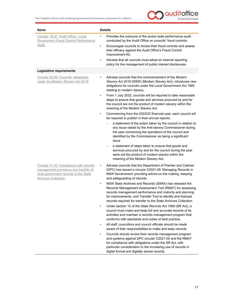

| <b>Items</b>                                                                                                                                             | <b>Details</b>                                                                                                                                                                                                                                                                                                                |
|----------------------------------------------------------------------------------------------------------------------------------------------------------|-------------------------------------------------------------------------------------------------------------------------------------------------------------------------------------------------------------------------------------------------------------------------------------------------------------------------------|
| Circular 18-37 'Audit Office - Local<br><b>Government Fraud Control Performance</b><br>Audit'                                                            | Provides the outcome of the sector-wide performance audit<br>$\bullet$<br>conducted by the Audit Office on councils' fraud controls.<br>Encourages councils to review their fraud controls and assess<br>$\bullet$<br>their efficacy against the Audit Office's Fraud Control                                                 |
|                                                                                                                                                          | Improvement Kit.<br>Advises that all councils must adopt an internal reporting                                                                                                                                                                                                                                                |
|                                                                                                                                                          | policy for the management of public interest disclosures.                                                                                                                                                                                                                                                                     |
| Legislative requirements                                                                                                                                 |                                                                                                                                                                                                                                                                                                                               |
| Circular 22-09 'Councils' obligations<br>under the Modern Slavery Act 2018'                                                                              | Advises councils that the commencement of the Modern<br>$\bullet$<br>Slavery Act 2018 (NSW) (Modern Slavery Act), introduces new<br>obligations for councils under the Local Government Act 1993<br>relating to modern slavery.                                                                                               |
|                                                                                                                                                          | From 1 July 2022, councils will be required to take reasonable<br>$\bullet$<br>steps to ensure that goods and services procured by and for<br>the council are not the product of modern slavery within the<br>meaning of the Modern Slavery Act.                                                                              |
|                                                                                                                                                          | Commencing from the 2022/23 financial year, each council will<br>$\bullet$<br>be required to publish in their annual reports:                                                                                                                                                                                                 |
|                                                                                                                                                          | a statement of the action taken by the council in relation to<br>any issue raised by the Anti-slavery Commissioner during<br>the year concerning the operations of the council and<br>identified by the Commissioner as being a significant<br>issue                                                                          |
|                                                                                                                                                          | a statement of steps taken to ensure that goods and<br>services procured by and for the council during the year<br>were not the product of modern slavery within the<br>meaning of the Modern Slavery Act.                                                                                                                    |
| Circular 21-33 'Compliance with records<br>management provisions and transfer of<br>local government records to the State<br><b>Archives Collection'</b> | Advises councils that the Department of Premier and Cabinet<br>$\bullet$<br>(DPC) has issued a circular C2021-05 'Managing Records in<br>NSW Government' providing advice on the making, keeping<br>and safeguarding of records.                                                                                              |
|                                                                                                                                                          | NSW State Archives and Records (SARA) has released the<br>$\bullet$<br>Records Management Assessment Tool (RMAT) for assessing<br>records management performance and maturity and planning<br>for improvements, and Transfer Tool to identify and forecast<br>records required for transfer to the State Archives Collection. |
|                                                                                                                                                          | Under section 12 of the State Records Act 1998 (SR Act), a<br>council must make and keep full and accurate records of its<br>activities and maintain a records management program that<br>conforms with standards and codes of best practice.                                                                                 |
|                                                                                                                                                          | All staff, councillors and council officials should be made<br>aware of their responsibilities to make and keep records.                                                                                                                                                                                                      |
|                                                                                                                                                          | Councils should review their records management program<br>and systems against DPC circular C2021-05 and the RMAT<br>for compliance with obligations under the SR Act, with<br>particular consideration to the increasing use of records in<br>digital format and digitally stored records.                                   |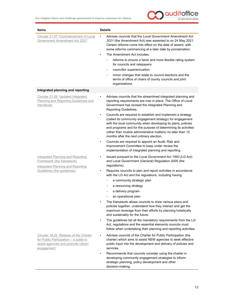

| Items                                                                                                                                 | <b>Details</b>                                                                                                                                                                                                                                                                                                                                                                                                                                                                                                                                               |
|---------------------------------------------------------------------------------------------------------------------------------------|--------------------------------------------------------------------------------------------------------------------------------------------------------------------------------------------------------------------------------------------------------------------------------------------------------------------------------------------------------------------------------------------------------------------------------------------------------------------------------------------------------------------------------------------------------------|
| Circular 21-07 'Commencement of Local<br>Government Amendment Act 2021'                                                               | Advises councils that the Local Government Amendment Act<br>2021 (the Amendment Act) was assented to on 24 May 2021.<br>Certain reforms come into effect on the date of assent, with<br>some reforms commencing at a later date by proclamation.<br>The Amendment Act includes:<br>$\bullet$<br>reforms to ensure a fairer and more flexible rating system<br>for councils and ratepayers<br>councillor superannuation<br>minor changes that relate to council elections and the<br>terms of office of chairs of county councils and joint<br>organisations. |
| Integrated planning and reporting                                                                                                     |                                                                                                                                                                                                                                                                                                                                                                                                                                                                                                                                                              |
| Circular 21-28 'Updated Integrated<br>Planning and Reporting Guidelines and<br>Handbook'                                              | Advises councils that the streamlined integrated planning and<br>reporting requirements are now in place. The Office of Local<br>Government has revised the Integrated Planning and<br>Reporting Guidelines.                                                                                                                                                                                                                                                                                                                                                 |
|                                                                                                                                       | Councils are required to establish and implement a strategy<br>$\bullet$<br>(called its community engagement strategy) for engagement<br>with the local community when developing its plans, policies<br>and programs and for the purpose of determining its activities<br>(other than routine administrative matters) no later than 12<br>months after the next ordinary election.                                                                                                                                                                          |
|                                                                                                                                       | Councils are required to appoint an Audit, Risk and<br>$\bullet$<br>Improvement Committee to keep under review the<br>implementation of integrated planning and reporting.                                                                                                                                                                                                                                                                                                                                                                                   |
| <b>Integrated Planning and Reporting</b><br>Framework (the framework)<br><b>Integrated Planning and Reporting</b>                     | Issued pursuant to the Local Government Act 1993 (LG Act)<br>and Local Government (General) Regulation 2005 (the<br>regulations).                                                                                                                                                                                                                                                                                                                                                                                                                            |
| Guidelines (the guidelines)                                                                                                           | Requires councils to plan and report activities in accordance<br>$\bullet$<br>with the LG Act and the regulations, including having:                                                                                                                                                                                                                                                                                                                                                                                                                         |
|                                                                                                                                       | a community strategic plan                                                                                                                                                                                                                                                                                                                                                                                                                                                                                                                                   |
|                                                                                                                                       | a resourcing strategy                                                                                                                                                                                                                                                                                                                                                                                                                                                                                                                                        |
|                                                                                                                                       | a delivery program<br>an operational plan.                                                                                                                                                                                                                                                                                                                                                                                                                                                                                                                   |
|                                                                                                                                       | The framework allows councils to draw various plans and<br>policies together, understand how they interact and get the<br>maximum leverage from their efforts by planning holistically<br>and sustainably for the future.                                                                                                                                                                                                                                                                                                                                    |
|                                                                                                                                       | The guidelines list all the mandatory requirements from the LG<br>Act, regulations and the essential elements councils must<br>follow when undertaking their planning and reporting activities.                                                                                                                                                                                                                                                                                                                                                              |
| Circular 18-22 'Release of the Charter<br>for Public Participation - a guide to<br>assist agencies and promote citizen<br>engagement' | Advises councils of the Charter for Public Participation (the<br>charter) which aims to assist NSW agencies to seek effective<br>public input into the development and delivery of policies and<br>services.                                                                                                                                                                                                                                                                                                                                                 |
|                                                                                                                                       | Recommends that councils consider using the charter in<br>$\bullet$<br>developing community engagement strategies to inform<br>strategic planning, policy development and other<br>decision-making.                                                                                                                                                                                                                                                                                                                                                          |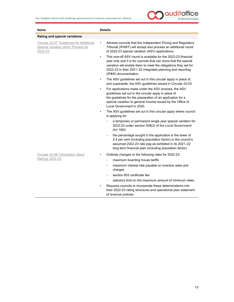

| <b>Items</b>                                                                                 | <b>Details</b>                                                                                                                                                                                                                                                                                          |
|----------------------------------------------------------------------------------------------|---------------------------------------------------------------------------------------------------------------------------------------------------------------------------------------------------------------------------------------------------------------------------------------------------------|
| Rating and special variations                                                                |                                                                                                                                                                                                                                                                                                         |
| Circular 22-07 'Guidelines for Additional<br>Special Variation (ASV) Process for<br>2022-23' | Advises councils that the Independent Pricing and Regulatory<br>$\bullet$<br>Tribunal (IPART) will accept and process an additional round<br>of 2022-23 special variation (ASV) applications.                                                                                                           |
|                                                                                              | This one-off ASV round is available for the 2022-23 financial<br>$\bullet$<br>year only and it is for councils that can show that the special<br>variation will enable them to meet the obligations they set for<br>2022-23 in their 2021–22 integrated planning and reporting<br>(IP&R) documentation. |
|                                                                                              | The ASV guidelines set out in this circular apply in place of,<br>$\bullet$<br>and supersede, the ASV guidelines issued in Circular 22-03                                                                                                                                                               |
|                                                                                              | For applications made under the ASV process, the ASV<br>٠<br>guidelines set out in the circular apply in place of<br>the guidelines for the preparation of an application for a<br>special variation to general income issued by the Office of<br>Local Government in 2020.                             |
|                                                                                              | The ASV guidelines set out in this circular apply where council<br>$\bullet$<br>is applying for:                                                                                                                                                                                                        |
|                                                                                              | a temporary or permanent single year special variation for<br>2022-23 under section 508(2) of the Local Government<br>Act 1993                                                                                                                                                                          |
|                                                                                              | the percentage sought in the application is the lower of<br>2.5 per cent (including population factor) or the council's<br>assumed 2022-23 rate peg as exhibited in its 2021-22<br>long term financial plan (including population factor).                                                              |
| Circular 22-06 'Information about<br>Ratings 2022-23'                                        | Outlines changes to the following rates for 2022-23:                                                                                                                                                                                                                                                    |
|                                                                                              | maximum boarding house tariffs                                                                                                                                                                                                                                                                          |
|                                                                                              | maximum interest rate payable on overdue rates and<br>charges                                                                                                                                                                                                                                           |
|                                                                                              | section 603 certificate fee<br>$\overline{\phantom{m}}$                                                                                                                                                                                                                                                 |
|                                                                                              | statutory limit on the maximum amount of minimum rates.                                                                                                                                                                                                                                                 |
|                                                                                              | Requires councils to incorporate these determinations into<br>their 2022-23 rating structures and operational plan statement<br>of revenue policies.                                                                                                                                                    |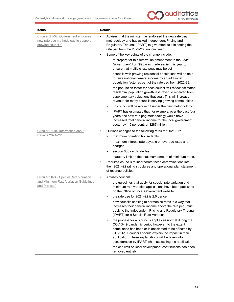

| <b>Items</b>                                                                                           | <b>Details</b>                                                                                                                                                                                                                                                                                                                                  |
|--------------------------------------------------------------------------------------------------------|-------------------------------------------------------------------------------------------------------------------------------------------------------------------------------------------------------------------------------------------------------------------------------------------------------------------------------------------------|
| Circular 21-32 'Government endorses<br>new rate peg methodology to support<br>growing councils'        | Advises that the minister has endorsed the new rate peg<br>$\bullet$<br>methodology and has asked Independent Pricing and<br>Regulatory Tribunal (IPART) to give effect to it in setting the<br>rate peg from the 2022-23 financial year.                                                                                                       |
|                                                                                                        | Some of the key points of the change include:<br>$\bullet$                                                                                                                                                                                                                                                                                      |
|                                                                                                        | to prepare for this reform, an amendment to the Local<br>Government Act 1993 was made earlier this year to<br>ensure that multiple rate pegs may be set                                                                                                                                                                                         |
|                                                                                                        | councils with growing residential populations will be able<br>to raise notional general income by an additional<br>population factor as part of the rate peg from 2022-23.                                                                                                                                                                      |
|                                                                                                        | the population factor for each council will reflect estimated<br>residential population growth less revenue received from<br>supplementary valuations that year. This will increase<br>revenue for many councils serving growing communities                                                                                                    |
|                                                                                                        | no council will be worse off under the new methodology                                                                                                                                                                                                                                                                                          |
|                                                                                                        | IPART has estimated that, for example, over the past four<br>years, the new rate peg methodology would have<br>increased total general income for the local government<br>sector by 1.5 per cent, or \$287 million.                                                                                                                             |
| Circular 21-04 'Information about                                                                      | Outlines changes to the following rates for 2021-22:                                                                                                                                                                                                                                                                                            |
| Ratings 2021-22'                                                                                       | maximum boarding house tariffs                                                                                                                                                                                                                                                                                                                  |
|                                                                                                        | maximum interest rate payable on overdue rates and<br>charges                                                                                                                                                                                                                                                                                   |
|                                                                                                        | section 603 certificate fee                                                                                                                                                                                                                                                                                                                     |
|                                                                                                        | statutory limit on the maximum amount of minimum rates.                                                                                                                                                                                                                                                                                         |
|                                                                                                        | Requires councils to incorporate these determinations into<br>$\bullet$<br>their 2021-22 rating structures and operational plan statement<br>of revenue policies.                                                                                                                                                                               |
| <b>Circular 20-38 'Special Rate Variation</b><br>and Minimum Rate Variation Guidelines<br>and Process' | Advises councils:                                                                                                                                                                                                                                                                                                                               |
|                                                                                                        | the guidelines that apply for special rate variation and<br>minimum rate variation applications have been published<br>on the Office of Local Government website                                                                                                                                                                                |
|                                                                                                        | the rate peg for 2021-22 is 2.0 per cent                                                                                                                                                                                                                                                                                                        |
|                                                                                                        | new councils seeking to harmonise rates in a way that<br>increases their general income above the rate peg, must<br>apply to the Independent Pricing and Regulatory Tribunal<br>(IPART) for a Special Rate Variation                                                                                                                            |
|                                                                                                        | the process for all councils applies as normal during the<br>COVID-19 pandemic period however, to the extent<br>compliance has been or is anticipated to be affected by<br>COVID-19, councils should explain the impact in their<br>application. These explanations will be taken into<br>consideration by IPART when assessing the application |
|                                                                                                        | the cap limit on local development contributions has been<br>removed entirely.                                                                                                                                                                                                                                                                  |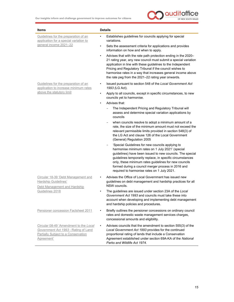

| <b>Items</b>                                                                                                                               | <b>Details</b>                                                                                                                                                                                                                                                                                                                                                                               |
|--------------------------------------------------------------------------------------------------------------------------------------------|----------------------------------------------------------------------------------------------------------------------------------------------------------------------------------------------------------------------------------------------------------------------------------------------------------------------------------------------------------------------------------------------|
| Guidelines for the preparation of an<br>application for a special variation to<br>general income 2021-22                                   | Establishes guidelines for councils applying for special<br>variations.<br>Sets the assessment criteria for applications and provides<br>٠<br>information on how and when to apply.                                                                                                                                                                                                          |
|                                                                                                                                            | Advises that with the rate path protection ending in the 2020-<br>٠<br>21 rating year, any new council must submit a special variation<br>application in line with these guidelines to the Independent<br>Pricing and Regulatory Tribunal if the council wishes to<br>harmonise rates in a way that increases general income above<br>the rate peg from the 2021-22 rating year onwards.     |
| Guidelines for the preparation of an<br>application to increase minimum rates<br>above the statutory limit                                 | Issued pursuant to section 548 of the Local Government Act<br>1993 (LG Act).                                                                                                                                                                                                                                                                                                                 |
|                                                                                                                                            | Apply to all councils, except in specific circumstances, to new<br>$\bullet$<br>councils yet to harmonise.                                                                                                                                                                                                                                                                                   |
|                                                                                                                                            | Advises that:<br>$\bullet$                                                                                                                                                                                                                                                                                                                                                                   |
|                                                                                                                                            | The Independent Pricing and Regulatory Tribunal will<br>assess and determine special variation applications by<br>councils                                                                                                                                                                                                                                                                   |
|                                                                                                                                            | when councils resolve to adopt a minimum amount of a<br>rate, the size of the minimum amount must not exceed the<br>relevant permissible limits provided in section 548(3) of<br>the LG Act and clause 126 of the Local Government<br>(General) Regulation 2005                                                                                                                              |
|                                                                                                                                            | 'Special Guidelines for new councils applying to<br>harmonise minimum rates on 1 July 2021' (special<br>guidelines) have been issued to new councils. The special<br>guidelines temporarily replace, in specific circumstances<br>only, these minimum rates guidelines for new councils<br>formed during a council merger process in 2016 and<br>required to harmonise rates on 1 July 2021. |
| Circular 18-39 'Debt Management and<br><b>Hardship Guidelines'</b><br>Debt Management and Hardship<br>Guidelines 2018                      | Advises the Office of Local Government has issued new<br>guidelines on debt management and hardship practices for all<br>NSW councils.                                                                                                                                                                                                                                                       |
|                                                                                                                                            | The guidelines are issued under section 23A of the Local<br>Government Act 1993 and councils must take these into<br>account when developing and implementing debt management<br>and hardship policies and procedures.                                                                                                                                                                       |
| Pensioner concession Factsheet 2011                                                                                                        | Briefly outlines the pensioner concessions on ordinary council<br>rates and domestic waste management services charges,<br>concessional amounts and eligibility.                                                                                                                                                                                                                             |
| Circular 08-49 'Amendment to the Local<br>Government Act 1993 - Rating of Land<br><b>Partially Subject to a Conservation</b><br>Agreement' | Advises councils that the amendment to section 555(3) of the<br>٠<br>Local Government Act 1993 provides for the continued<br>proportional rating of lands that include a Conservation<br>Agreement established under section 69A-KA of the National<br>Parks and Wildlife Act 1974.                                                                                                          |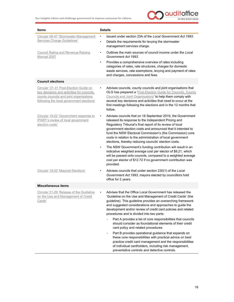

| Items                                                                                                                                                                        | <b>Details</b>         |                                                                                                                                                                                                                                                                                                                                                                                                                                                                                                                                                                                                                                                                                                                   |
|------------------------------------------------------------------------------------------------------------------------------------------------------------------------------|------------------------|-------------------------------------------------------------------------------------------------------------------------------------------------------------------------------------------------------------------------------------------------------------------------------------------------------------------------------------------------------------------------------------------------------------------------------------------------------------------------------------------------------------------------------------------------------------------------------------------------------------------------------------------------------------------------------------------------------------------|
| Circular 06-47 'Stormwater Management<br><b>Services Charge Guidelines'</b>                                                                                                  | ٠<br>٠                 | Issued under section 23A of the Local Government Act 1993.<br>Details the requirements for levying the stormwater<br>management services charge.                                                                                                                                                                                                                                                                                                                                                                                                                                                                                                                                                                  |
| <b>Council Rating and Revenue Raising</b><br>Manual 2007                                                                                                                     | $\bullet$<br>$\bullet$ | Outlines the main sources of council income under the Local<br>Government Act 1993.<br>Provides a comprehensive overview of rates including                                                                                                                                                                                                                                                                                                                                                                                                                                                                                                                                                                       |
|                                                                                                                                                                              |                        | categories of rates, rate structures, charges for domestic<br>waste services, rate exemptions, levying and payment of rates<br>and charges, concessions and fees.                                                                                                                                                                                                                                                                                                                                                                                                                                                                                                                                                 |
| <b>Council elections</b>                                                                                                                                                     |                        |                                                                                                                                                                                                                                                                                                                                                                                                                                                                                                                                                                                                                                                                                                                   |
| Circular '21-31 Post-Election Guide on<br>key decisions and activities for councils,<br>county councils and joint organisations<br>following the local government elections' | $\bullet$              | Advises councils, county councils and joint organisations that<br>OLG has prepared a 'Post-Election Guide for Councils, County<br>Councils and Joint Organisations' to help them comply with<br>several key decisions and activities that need to occur at the<br>first meetings following the elections and in the 12 months that<br>follow.                                                                                                                                                                                                                                                                                                                                                                     |
| Circular 19-22 'Government response to<br><b>IPART's review of local government</b><br>election costs'                                                                       | $\bullet$              | Advises councils that on 18 September 2019, the Government<br>released its response to the Independent Pricing and<br>Regulatory Tribunal's final report of its review of local<br>government election costs and announced that it intended to<br>fund the NSW Electoral Commission's (the Commission) core<br>costs in relation to the administration of local government<br>elections, thereby reducing councils' election costs.<br>The NSW Government's funding contribution will result in an<br>indicative weighted average cost per elector of \$8.21, which<br>will be passed onto councils, compared to a weighted average<br>cost per elector of \$12.72 if no government contribution was<br>provided. |
| Circular 18-23 'Mayoral Elections'                                                                                                                                           |                        | Advises councils that under section 230(1) of the Local<br>Government Act 1993, mayors elected by councillors hold<br>office for 2 years.                                                                                                                                                                                                                                                                                                                                                                                                                                                                                                                                                                         |
| <b>Miscellaneous items</b>                                                                                                                                                   |                        |                                                                                                                                                                                                                                                                                                                                                                                                                                                                                                                                                                                                                                                                                                                   |
| Circular 21-29 'Release of the Guideline<br>on the Use and Management of Credit<br>Cards'                                                                                    |                        | Advises that the Office Local Government has released the<br>'Guideline on the Use and Management of Credit Cards' (the<br>guideline). This guideline provides an overarching framework<br>and suggested considerations and approaches to guide the<br>development and/or review of credit card policies and related<br>procedures and is divided into two parts:                                                                                                                                                                                                                                                                                                                                                 |
|                                                                                                                                                                              |                        | Part A provides a list of core responsibilities that councils<br>should consider as foundational elements of their credit<br>card policy and related procedures                                                                                                                                                                                                                                                                                                                                                                                                                                                                                                                                                   |
|                                                                                                                                                                              |                        | Part B provides operational guidance that expands on<br>these core responsibilities with practical advice on best<br>practice credit card management and the responsibilities<br>of individual cardholders, including risk management,<br>preventative controls and detective controls.                                                                                                                                                                                                                                                                                                                                                                                                                           |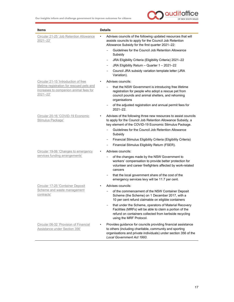

| <b>Items</b>                                                                                     | <b>Details</b>                                                                                                                                                                                                                                                                                                                                                                                                                     |
|--------------------------------------------------------------------------------------------------|------------------------------------------------------------------------------------------------------------------------------------------------------------------------------------------------------------------------------------------------------------------------------------------------------------------------------------------------------------------------------------------------------------------------------------|
| Circular 21-25 'Job Retention Allowance<br>2021-22'                                              | Advises councils of the following updated resources that will<br>assists councils to apply for the Council Job Retention<br>Allowance Subsidy for the first quarter 2021-22:<br>Guidelines for the Council Job Retention Allowance<br>Subsidy<br>JRA Eligibility Criteria (Eligibility Criteria) 2021-22<br>-<br>JRA Eligibility Return - Quarter 1 - 2021-22<br>Council JRA subsidy variation template letter (JRA<br>Variation). |
| Circular 21-15 'Introduction of free                                                             | Advises councils:                                                                                                                                                                                                                                                                                                                                                                                                                  |
| lifetime registration for rescued pets and<br>increases to companion animal fees for<br>2021-22' | that the NSW Government is introducing free lifetime<br>registration for people who adopt a rescue pet from<br>council pounds and animal shelters, and rehoming<br>organisations<br>of the adjusted registration and annual permit fees for                                                                                                                                                                                        |
|                                                                                                  | $2021 - 22$ .                                                                                                                                                                                                                                                                                                                                                                                                                      |
| Circular 20-16 'COVID-19 Economic<br>Stimulus Package'                                           | Advises of the following three new resources to assist councils<br>to apply for the Council Job Retention Allowance Subsidy, a<br>key element of the COVID-19 Economic Stimulus Package.<br>Guidelines for the Council Job Retention Allowance<br>Subsidy<br>Financial Stimulus Eligibility Criteria (Eligibility Criteria)<br>Financial Stimulus Eligibility Return (FSER).                                                       |
| Circular 19-06 'Changes to emergency                                                             | Advises councils:                                                                                                                                                                                                                                                                                                                                                                                                                  |
| services funding arrangements'                                                                   | of the changes made by the NSW Government to<br>workers' compensation to provide better protection for<br>volunteer and career firefighters affected by work-related<br>cancers<br>that the local government share of the cost of the                                                                                                                                                                                              |
|                                                                                                  | emergency services levy will be 11.7 per cent.                                                                                                                                                                                                                                                                                                                                                                                     |
| Circular 17-25 'Container Deposit<br>Scheme and waste management                                 | Advises councils:                                                                                                                                                                                                                                                                                                                                                                                                                  |
| contracts'                                                                                       | of the commencement of the NSW Container Deposit<br>Scheme (the Scheme) on 1 December 2017, with a<br>10 per cent refund claimable on eligible containers                                                                                                                                                                                                                                                                          |
|                                                                                                  | that under the Scheme, operators of Material Recovery<br>Facilities (MRFs) will be able to claim a portion of the<br>refund on containers collected from kerbside recycling<br>using the MRF Protocol.                                                                                                                                                                                                                             |
| Circular 06-32 'Provision of Financial<br>Assistance under Section 356'                          | Provides guidance for councils providing financial assistance<br>to others (including charitable, community and sporting<br>organisations and private individuals) under section 356 of the<br>Local Government Act 1993.                                                                                                                                                                                                          |

17